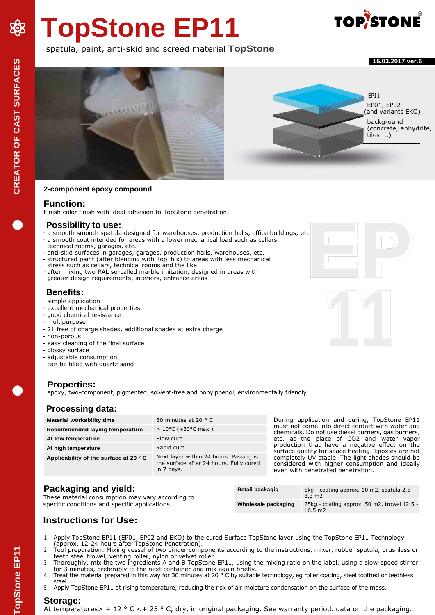# **TopStone EP11**

# **TOP/STONE**

# spatula, paint, anti-skid and screed material **TopStone**

**15.03.2017 ver.5**



#### **2-component epoxy compound**

#### **Function:**

Finish color finish with ideal adhesion to TopStone penetration.

#### **Possibility to use:**

- a smooth smooth spatula designed for warehouses, production halls, office buildings, etc..
- a smooth coat intended for areas with a lower mechanical load such as cellars,
- technical rooms, garages, etc. - anti-skid surfaces in garages, garages, production halls, warehouses, etc. - structured paint (after blending with TopThix) to areas with less mechanical
- stress such as cellars, technical rooms and the like. - after mixing two RAL so-called marble imitation, designed in areas with greater design requirements, interiors, entrance areas

# **Benefits:**

- simple application
- excellent mechanical properties
- good chemical resistance
- multipurpose
- 21 free of charge shades, additional shades at extra charge
- non-porous
- easy cleaning of the final surface
- glossy surface
- adjustable consumption
- can be filled with quartz sand

# **Properties:**

epoxy, two-component, pigmented, solvent-free and nonylphenol, environmentally friendly

# **Processing data:**

| <b>Material workability time</b>      | 30 minutes at 20 $\degree$ C                                                                    | During application and curing, TopStone EP11<br>must not come into direct contact with water and                                        |
|---------------------------------------|-------------------------------------------------------------------------------------------------|-----------------------------------------------------------------------------------------------------------------------------------------|
| Recommended laying temperature        | $> 10^{\circ}$ C (+30 $^{\circ}$ C max.)                                                        | chemicals. Do not use diesel burners, gas burners,                                                                                      |
| At low temperature                    | Slow cure                                                                                       | etc. at the place of CO2 and water vapor                                                                                                |
| At high temperature                   | Rapid cure                                                                                      | production that have a negative effect on the<br>surface quality for space heating. Epoxies are not                                     |
| Applicability of the surface at 20 °C | Next layer within 24 hours. Passing is<br>the surface after 24 hours. Fully cured<br>in 7 days. | completely UV stable. The light shades should be<br>considered with higher consumption and ideally<br>even with penetrated penetration. |
|                                       |                                                                                                 |                                                                                                                                         |

# **Packaging and yield:**

These material consumption may vary according to specific conditions and specific applications.

| Retail packagig     | 5kg - coating approx. 10 m2, spatula 2,5 -<br>$3.3 \text{ m2}$   |
|---------------------|------------------------------------------------------------------|
| Wholesale packaging | 25kg - coating approx. 50 m2, trowel 12.5 -<br>$16.5 \text{ m2}$ |

# **Instructions for Use:**

- 1. Apply TopStone EP11 (EP01, EP02 and EKO) to the cured Surface TopStone layer using the TopStone EP11 Technology (approx. 12-24 hours after TopStone Penetration).
- 2. Tool preparation: Mixing vessel of two binder components according to the instructions, mixer, rubber spatula, brushless or teeth steel trowel, venting roller, nylon or velvet roller.
- 3. Thoroughly, mix the two ingredients A and B TopStone EP11, using the mixing ratio on the label, using a slow-speed stirrer for 3 minutes, preferably to the next container and mix again briefly.
- 4. Treat the material prepared in this way for 30 minutes at 20  $\degree$  C by suitable technology, eg roller coating, steel toothed or teethless steel.
- 5. Apply TopStone EP11 at rising temperature, reducing the risk of air moisture condensation on the surface of the mass.

# **Storage:**

At temperatures> + 12  $\circ$  C < + 25  $\circ$  C, dry, in original packaging. See warranty period. data on the packaging.





**CREATOR OF CAST SURFACES TopStone EP11 CREATOR OF CAST SURFACES**

838